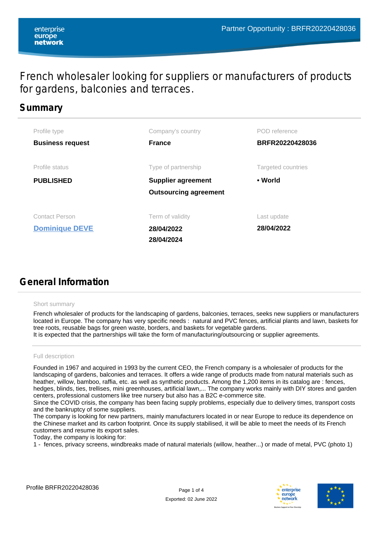# French wholesaler looking for suppliers or manufacturers of products for gardens, balconies and terraces.

## **Summary**

| Profile type            | Company's country            | POD reference      |
|-------------------------|------------------------------|--------------------|
| <b>Business request</b> | <b>France</b>                | BRFR20220428036    |
| Profile status          | Type of partnership          | Targeted countries |
| <b>PUBLISHED</b>        | <b>Supplier agreement</b>    | • World            |
|                         | <b>Outsourcing agreement</b> |                    |
|                         |                              |                    |
| <b>Contact Person</b>   | Term of validity             | Last update        |
| <b>Dominique DEVE</b>   | 28/04/2022                   | 28/04/2022         |
|                         | 28/04/2024                   |                    |

# **General Information**

### Short summary

French wholesaler of products for the landscaping of gardens, balconies, terraces, seeks new suppliers or manufacturers located in Europe. The company has very specific needs : natural and PVC fences, artificial plants and lawn, baskets for tree roots, reusable bags for green waste, borders, and baskets for vegetable gardens. It is expected that the partnerships will take the form of manufacturing/outsourcing or supplier agreements.

### Full description

Founded in 1967 and acquired in 1993 by the current CEO, the French company is a wholesaler of products for the landscaping of gardens, balconies and terraces. It offers a wide range of products made from natural materials such as heather, willow, bamboo, raffia, etc. as well as synthetic products. Among the 1,200 items in its catalog are : fences, hedges, blinds, ties, trellises, mini greenhouses, artificial lawn,... The company works mainly with DIY stores and garden centers, professional customers like tree nursery but also has a B2C e-commerce site.

Since the COVID crisis, the company has been facing supply problems, especially due to delivery times, transport costs and the bankruptcy of some suppliers.

The company is looking for new partners, mainly manufacturers located in or near Europe to reduce its dependence on the Chinese market and its carbon footprint. Once its supply stabilised, it will be able to meet the needs of its French customers and resume its export sales.

Today, the company is looking for:

1 - fences, privacy screens, windbreaks made of natural materials (willow, heather...) or made of metal, PVC (photo 1)



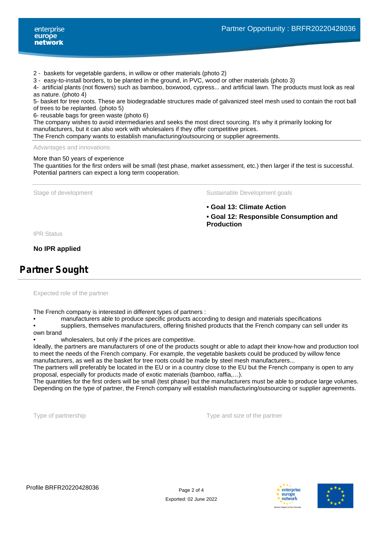- 2 baskets for vegetable gardens, in willow or other materials (photo 2)
- 3 easy-to-install borders, to be planted in the ground, in PVC, wood or other materials (photo 3)

4- artificial plants (not flowers) such as bamboo, boxwood, cypress... and artificial lawn. The products must look as real as nature. (photo 4)

5- basket for tree roots. These are biodegradable structures made of galvanized steel mesh used to contain the root ball of trees to be replanted. (photo 5)

6- reusable bags for green waste (photo 6)

The company wishes to avoid intermediaries and seeks the most direct sourcing. It's why it primarily looking for manufacturers, but it can also work with wholesalers if they offer competitive prices.

The French company wants to establish manufacturing/outsourcing or supplier agreements.

#### Advantages and innovations

#### More than 50 years of experience

The quantities for the first orders will be small (test phase, market assessment, etc.) then larger if the test is successful. Potential partners can expect a long term cooperation.

Stage of development The Sustainable Development goals

**• Goal 13: Climate Action**

**• Goal 12: Responsible Consumption and Production**

IPR Status

**No IPR applied**

## **Partner Sought**

Expected role of the partner

The French company is interested in different types of partners :

• manufacturers able to produce specific products according to design and materials specifications

suppliers, themselves manufacturers, offering finished products that the French company can sell under its own brand

wholesalers, but only if the prices are competitive.

Ideally, the partners are manufacturers of one of the products sought or able to adapt their know-how and production tool to meet the needs of the French company. For example, the vegetable baskets could be produced by willow fence manufacturers, as well as the basket for tree roots could be made by steel mesh manufacturers...

The partners will preferably be located in the EU or in a country close to the EU but the French company is open to any proposal, especially for products made of exotic materials (bamboo, raffia,…).

The quantities for the first orders will be small (test phase) but the manufacturers must be able to produce large volumes. Depending on the type of partner, the French company will establish manufacturing/outsourcing or supplier agreements.

Type of partnership Type and size of the partner



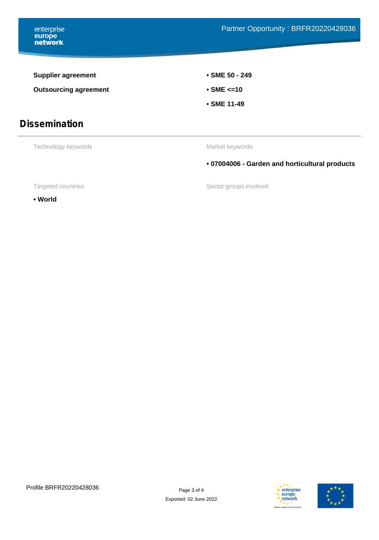enterprise<br> **europe<br>
network** 

| <b>Supplier agreement</b>                    | • SME 50 - 249<br>$\cdot$ SME $\leq$ 10        |  |
|----------------------------------------------|------------------------------------------------|--|
| <b>Outsourcing agreement</b>                 |                                                |  |
|                                              | • SME 11-49                                    |  |
| <b>Dissemination</b>                         |                                                |  |
| Technology keywords                          | Market keywords                                |  |
|                                              | • 07004006 - Garden and horticultural products |  |
| Sector groups involved<br>Targeted countries |                                                |  |

**• World**